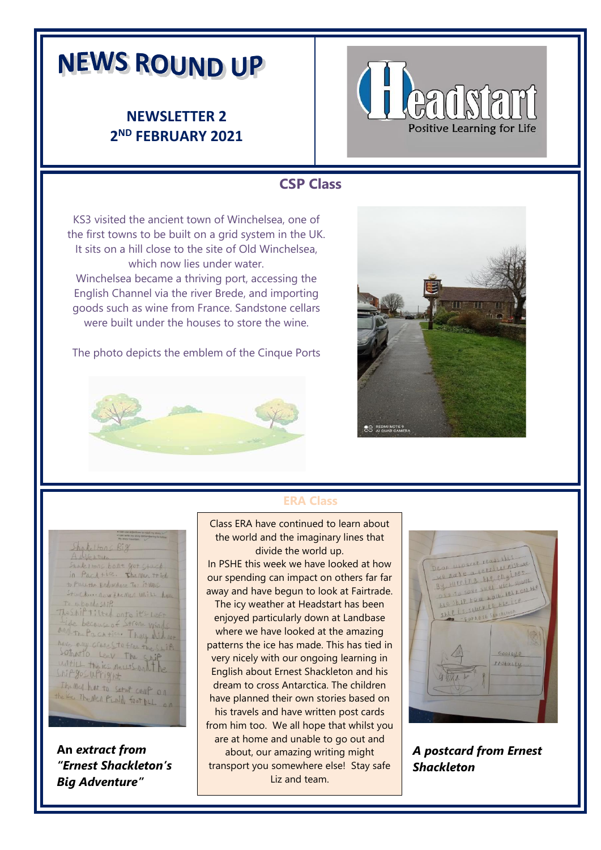# **NEWS ROUND UP**

## **NEWSLETTER 2 2 ND FEBRUARY 2021**



#### **CSP Class**

KS3 visited the ancient town of Winchelsea, one of the first towns to be built on a grid system in the UK. It sits on a hill close to the site of Old Winchelsea, which now lies under water. Winchelsea became a thriving port, accessing the

English Channel via the river Brede, and importing goods such as wine from France. Sandstone cellars were built under the houses to store the wine.

The photo depicts the emblem of the Cinque Ports



**An** *extract from* 

Shakeltong

A Neptura

Ship gos upright.

Shake I HORS bort got Stuck in Packtice. The men trich

to PWL the Endurance To : it was

to whoodoship<br>Theship tilted onto it's Left Life become of Strone winds And the Because of 271 one Winds have may crane Sto free the Shift Sothatto Leev The Ship

The med hat to setup comp on the ise The Men PLAN foot by an

Stucking now the men unill have

*Big Adventure"*

*"Ernest Shackleton's* 



# **ERA Class**

 the world and the imaginary lines that Class ERA have continued to learn about divide the world up.

In PSHE this week we have looked at how our spending can impact on others far far away and have begun to look at Fairtrade.

The icy weather at Headstart has been enjoyed particularly down at Landbase where we have looked at the amazing patterns the ice has made. This has tied in very nicely with our ongoing learning in English about Ernest Shackleton and his dream to cross Antarctica. The children have planned their own stories based on his travels and have written post cards from him too. We all hope that whilst you are at home and unable to go out and about, our amazing writing might transport you somewhere else! Stay safe Liz and team.



*A postcard from Ernest Shackleton*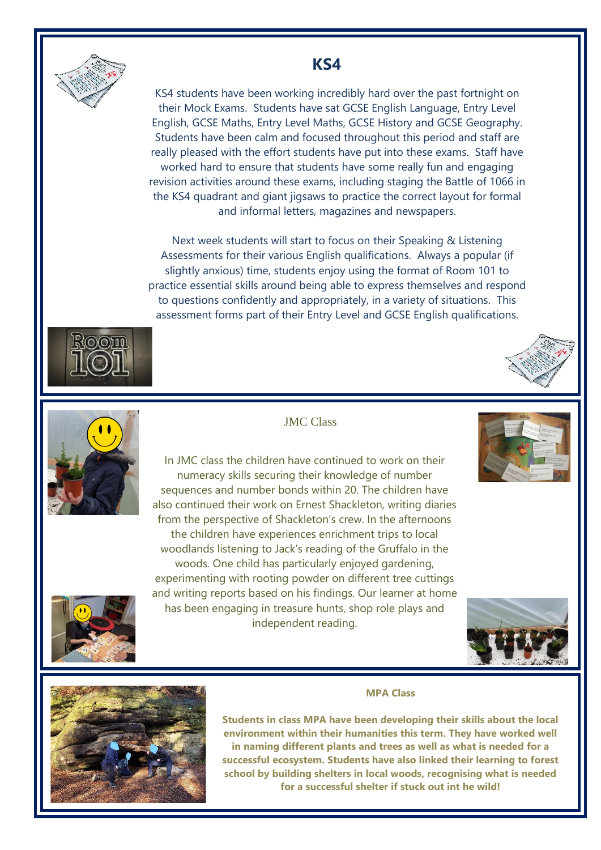

# **KS4**

KS4 students have been working incredibly hard over the past fortnight on their Mock Exams. Students have sat GCSE English Language, Entry Level English, GCSE Maths, Entry Level Maths, GCSE History and GCSE Geography. Students have been calm and focused throughout this period and staff are really pleased with the effort students have put into these exams. Staff have worked hard to ensure that students have some really fun and engaging revision activities around these exams, including staging the Battle of 1066 in the KS4 quadrant and giant jigsaws to practice the correct layout for formal and informal letters, magazines and newspapers.

Next week students will start to focus on their Speaking & Listening Assessments for their various English qualifications. Always a popular (if slightly anxious) time, students enjoy using the format of Room 101 to practice essential skills around being able to express themselves and respond to questions confidently and appropriately, in a variety of situations. This assessment forms part of their Entry Level and GCSE English qualifications.







#### JMC Class

In JMC class the children have continued to work on their numeracy skills securing their knowledge of number sequences and number bonds within 20. The children have also continued their work on Ernest Shackleton, writing diaries from the perspective of Shackleton's crew. In the afternoons the children have experiences enrichment trips to local woodlands listening to Jack's reading of the Gruffalo in the woods. One child has particularly enjoyed gardening, experimenting with rooting powder on different tree cuttings and writing reports based on his findings. Our learner at home has been engaging in treasure hunts, shop role plays and independent reading.









**Students in class MPA have been developing their skills about the local environment within their humanities this term. They have worked well in naming different plants and trees as well as what is needed for a successful ecosystem. Students have also linked their learning to forest school by building shelters in local woods, recognising what is needed for a successful shelter if stuck out int he wild!**

**MPA Class**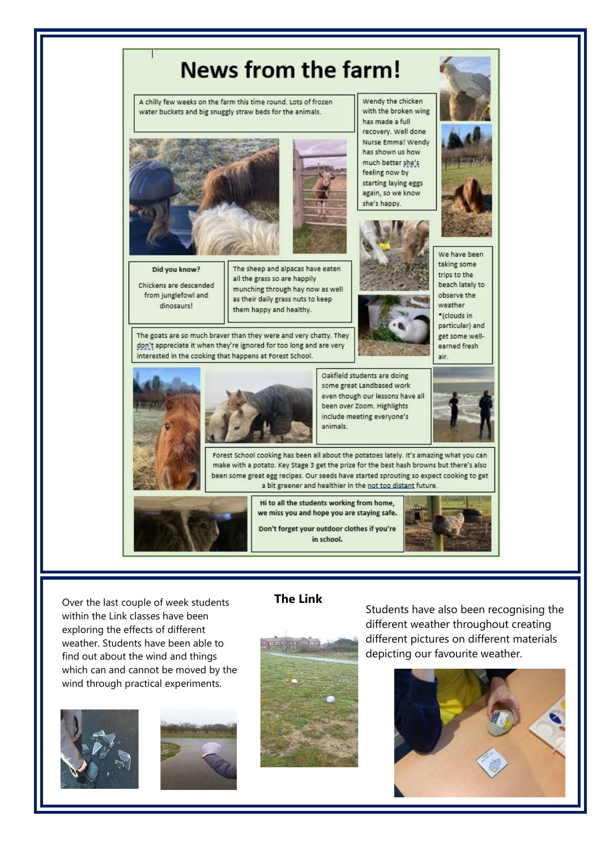

Over the last couple of week students **The Link** within the Link classes have been exploring the effects of different weather. Students have been able to find out about the wind and things which can and cannot be moved by the wind through practical experiments.







Students have also been recognising the different weather throughout creating different pictures on different materials depicting our favourite weather.

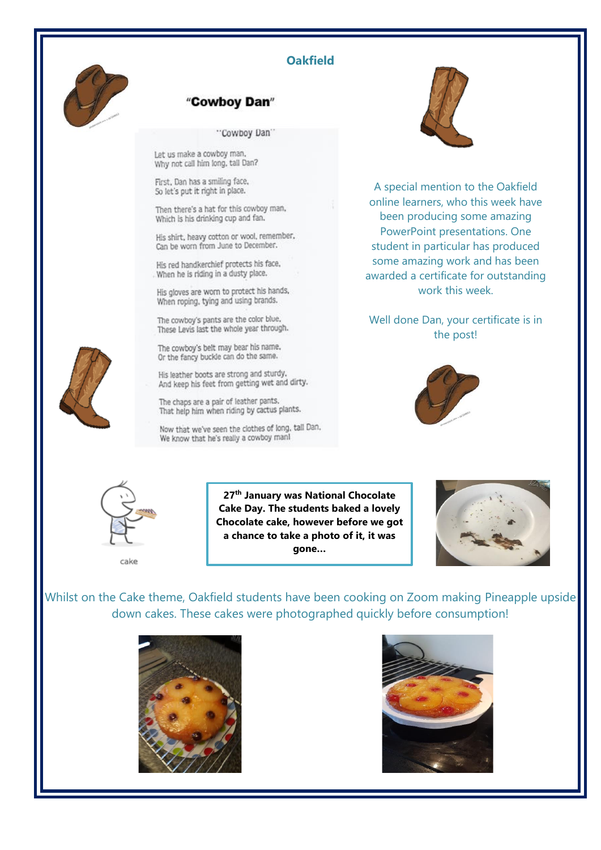

#### **Oakfield**

#### "Cowboy Dan"

"Cowboy Dan"

Let us make a cowboy man. Why not call him long, tail Dan?

First, Dan has a smiling face, So let's put it right in place.

Then there's a hat for this cowboy man, Which is his drinking cup and fan.

His shirt, heavy cotton or wool, remember, Can be worn from June to December.

His red handkerchief protects his face, When he is riding in a dusty place.

His gloves are worn to protect his hands, When roping, tying and using brands.

The cowboy's pants are the color blue, These Levis last the whole year through.

The cowboy's belt may bear his name. Or the fancy buckle can do the same.

His leather boots are strong and sturdy. And keep his feet from getting wet and dirty.

The chaps are a pair of leather pants. That help him when riding by cactus plants.

Now that we've seen the clothes of long, tall Dan, We know that he's really a cowboy manl



A special mention to the Oakfield online learners, who this week have been producing some amazing PowerPoint presentations. One student in particular has produced some amazing work and has been awarded a certificate for outstanding work this week.

Well done Dan, your certificate is in the post!





cake

**27th January was National Chocolate Cake Day. The students baked a lovely Chocolate cake, however before we got a chance to take a photo of it, it was gone…**



Whilst on the Cake theme, Oakfield students have been cooking on Zoom making Pineapple upside down cakes. These cakes were photographed quickly before consumption!